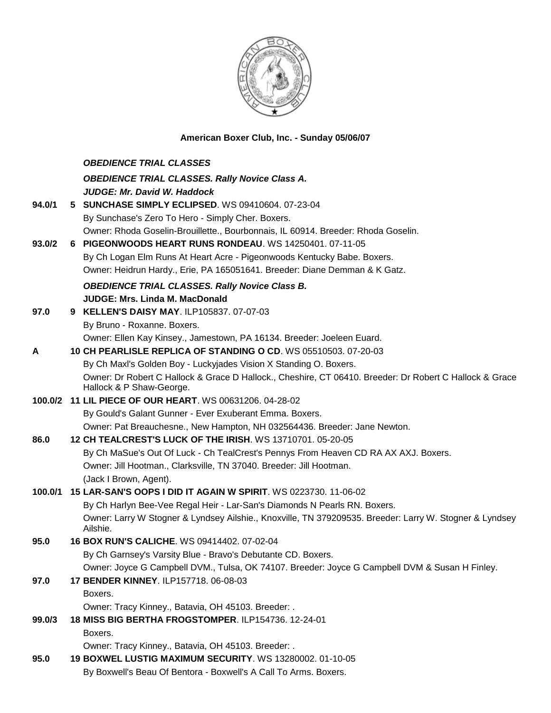

## **American Boxer Club, Inc. - Sunday 05/06/07**

|         | <b>OBEDIENCE TRIAL CLASSES</b>                                                                                                      |
|---------|-------------------------------------------------------------------------------------------------------------------------------------|
|         | <b>OBEDIENCE TRIAL CLASSES. Rally Novice Class A.</b>                                                                               |
|         | <b>JUDGE: Mr. David W. Haddock</b>                                                                                                  |
| 94.0/1  | 5 SUNCHASE SIMPLY ECLIPSED. WS 09410604, 07-23-04                                                                                   |
|         | By Sunchase's Zero To Hero - Simply Cher. Boxers.                                                                                   |
|         | Owner: Rhoda Goselin-Brouillette., Bourbonnais, IL 60914. Breeder: Rhoda Goselin.                                                   |
| 93.0/2  | 6 PIGEONWOODS HEART RUNS RONDEAU. WS 14250401, 07-11-05                                                                             |
|         | By Ch Logan Elm Runs At Heart Acre - Pigeonwoods Kentucky Babe. Boxers.                                                             |
|         | Owner: Heidrun Hardy., Erie, PA 165051641. Breeder: Diane Demman & K Gatz.                                                          |
|         | <b>OBEDIENCE TRIAL CLASSES. Rally Novice Class B.</b>                                                                               |
|         | <b>JUDGE: Mrs. Linda M. MacDonald</b>                                                                                               |
| 97.0    | 9 KELLEN'S DAISY MAY. ILP105837. 07-07-03                                                                                           |
|         | By Bruno - Roxanne. Boxers.                                                                                                         |
|         | Owner: Ellen Kay Kinsey., Jamestown, PA 16134. Breeder: Joeleen Euard.                                                              |
| A       | 10 CH PEARLISLE REPLICA OF STANDING O CD. WS 05510503. 07-20-03                                                                     |
|         | By Ch Maxl's Golden Boy - Luckyjades Vision X Standing O. Boxers.                                                                   |
|         | Owner: Dr Robert C Hallock & Grace D Hallock., Cheshire, CT 06410. Breeder: Dr Robert C Hallock & Grace<br>Hallock & P Shaw-George. |
|         | 100.0/2 11 LIL PIECE OF OUR HEART. WS 00631206. 04-28-02                                                                            |
|         | By Gould's Galant Gunner - Ever Exuberant Emma. Boxers.                                                                             |
|         | Owner: Pat Breauchesne., New Hampton, NH 032564436. Breeder: Jane Newton.                                                           |
| 86.0    | 12 CH TEALCREST'S LUCK OF THE IRISH. WS 13710701. 05-20-05                                                                          |
|         | By Ch MaSue's Out Of Luck - Ch TealCrest's Pennys From Heaven CD RA AX AXJ. Boxers.                                                 |
|         | Owner: Jill Hootman., Clarksville, TN 37040. Breeder: Jill Hootman.                                                                 |
|         | (Jack I Brown, Agent).                                                                                                              |
| 100.0/1 | 15 LAR-SAN'S OOPS I DID IT AGAIN W SPIRIT. WS 0223730. 11-06-02                                                                     |
|         | By Ch Harlyn Bee-Vee Regal Heir - Lar-San's Diamonds N Pearls RN. Boxers.                                                           |
|         | Owner: Larry W Stogner & Lyndsey Ailshie., Knoxville, TN 379209535. Breeder: Larry W. Stogner & Lyndsey<br>Ailshie.                 |
| 95.0    | 16 BOX RUN'S CALICHE. WS 09414402. 07-02-04                                                                                         |
|         | By Ch Garnsey's Varsity Blue - Bravo's Debutante CD. Boxers.                                                                        |
|         | Owner: Joyce G Campbell DVM., Tulsa, OK 74107. Breeder: Joyce G Campbell DVM & Susan H Finley.                                      |
| 97.0    | 17 BENDER KINNEY. ILP157718. 06-08-03                                                                                               |
|         | Boxers.                                                                                                                             |
|         | Owner: Tracy Kinney., Batavia, OH 45103. Breeder: .                                                                                 |
| 99.0/3  | 18 MISS BIG BERTHA FROGSTOMPER. ILP154736. 12-24-01                                                                                 |
|         | Boxers.                                                                                                                             |
|         | Owner: Tracy Kinney., Batavia, OH 45103. Breeder: .                                                                                 |
| 95.0    | 19 BOXWEL LUSTIG MAXIMUM SECURITY, WS 13280002, 01-10-05                                                                            |
|         | By Boxwell's Beau Of Bentora - Boxwell's A Call To Arms. Boxers.                                                                    |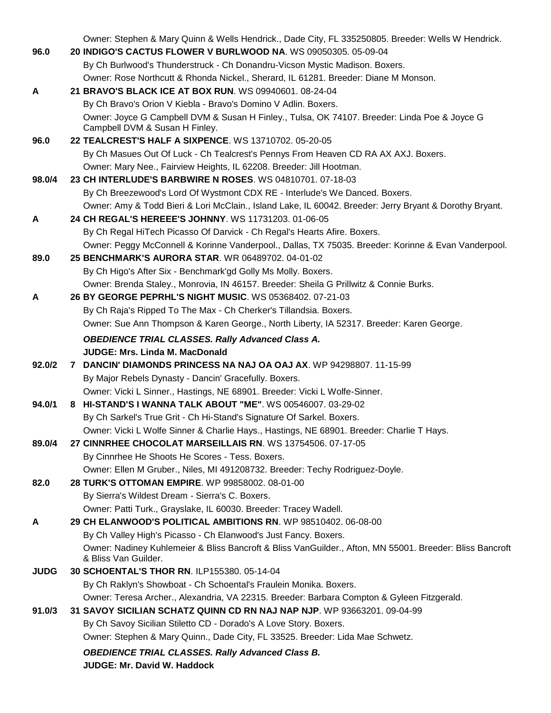Owner: Stephen & Mary Quinn & Wells Hendrick., Dade City, FL 335250805. Breeder: Wells W Hendrick.

| By Ch Burlwood's Thunderstruck - Ch Donandru-Vicson Mystic Madison. Boxers.<br>Owner: Rose Northcutt & Rhonda Nickel., Sherard, IL 61281. Breeder: Diane M Monson.<br>21 BRAVO'S BLACK ICE AT BOX RUN. WS 09940601. 08-24-04<br>A<br>By Ch Bravo's Orion V Kiebla - Bravo's Domino V Adlin. Boxers.<br>Owner: Joyce G Campbell DVM & Susan H Finley., Tulsa, OK 74107. Breeder: Linda Poe & Joyce G<br>Campbell DVM & Susan H Finley.<br>22 TEALCREST'S HALF A SIXPENCE. WS 13710702. 05-20-05<br>96.0<br>By Ch Masues Out Of Luck - Ch Tealcrest's Pennys From Heaven CD RA AX AXJ. Boxers.<br>Owner: Mary Nee., Fairview Heights, IL 62208. Breeder: Jill Hootman.<br>23 CH INTERLUDE'S BARBWIRE N ROSES. WS 04810701. 07-18-03<br>98.0/4<br>By Ch Breezewood's Lord Of Wystmont CDX RE - Interlude's We Danced. Boxers.<br>Owner: Amy & Todd Bieri & Lori McClain., Island Lake, IL 60042. Breeder: Jerry Bryant & Dorothy Bryant.<br>24 CH REGAL'S HEREEE'S JOHNNY. WS 11731203. 01-06-05<br>A<br>By Ch Regal HiTech Picasso Of Darvick - Ch Regal's Hearts Afire. Boxers.<br>Owner: Peggy McConnell & Korinne Vanderpool., Dallas, TX 75035. Breeder: Korinne & Evan Vanderpool.<br>25 BENCHMARK'S AURORA STAR, WR 06489702, 04-01-02<br>89.0<br>By Ch Higo's After Six - Benchmark'gd Golly Ms Molly. Boxers.<br>Owner: Brenda Staley., Monrovia, IN 46157. Breeder: Sheila G Prillwitz & Connie Burks.<br>26 BY GEORGE PEPRHL'S NIGHT MUSIC. WS 05368402. 07-21-03<br>A<br>By Ch Raja's Ripped To The Max - Ch Cherker's Tillandsia. Boxers.<br>Owner: Sue Ann Thompson & Karen George., North Liberty, IA 52317. Breeder: Karen George.<br><b>OBEDIENCE TRIAL CLASSES. Rally Advanced Class A.</b><br><b>JUDGE: Mrs. Linda M. MacDonald</b><br>7 DANCIN' DIAMONDS PRINCESS NA NAJ OA OAJ AX. WP 94298807. 11-15-99<br>92.0/2<br>By Major Rebels Dynasty - Dancin' Gracefully. Boxers.<br>Owner: Vicki L Sinner., Hastings, NE 68901. Breeder: Vicki L Wolfe-Sinner.<br>8 HI-STAND'S I WANNA TALK ABOUT "ME". WS 00546007. 03-29-02<br>94.0/1<br>By Ch Sarkel's True Grit - Ch Hi-Stand's Signature Of Sarkel. Boxers.<br>Owner: Vicki L Wolfe Sinner & Charlie Hays., Hastings, NE 68901. Breeder: Charlie T Hays.<br>27 CINNRHEE CHOCOLAT MARSEILLAIS RN. WS 13754506. 07-17-05<br>89.0/4<br>By Cinnrhee He Shoots He Scores - Tess. Boxers.<br>Owner: Ellen M Gruber., Niles, MI 491208732. Breeder: Techy Rodriguez-Doyle.<br>82.0<br>28 TURK'S OTTOMAN EMPIRE. WP 99858002. 08-01-00<br>By Sierra's Wildest Dream - Sierra's C. Boxers.<br>Owner: Patti Turk., Grayslake, IL 60030. Breeder: Tracey Wadell.<br>29 CH ELANWOOD'S POLITICAL AMBITIONS RN. WP 98510402. 06-08-00<br>A<br>By Ch Valley High's Picasso - Ch Elanwood's Just Fancy. Boxers.<br>Owner: Nadiney Kuhlemeier & Bliss Bancroft & Bliss VanGuilder., Afton, MN 55001. Breeder: Bliss Bancroft<br>& Bliss Van Guilder.<br>30 SCHOENTAL'S THOR RN. ILP155380. 05-14-04<br><b>JUDG</b><br>By Ch Raklyn's Showboat - Ch Schoental's Fraulein Monika. Boxers.<br>Owner: Teresa Archer., Alexandria, VA 22315. Breeder: Barbara Compton & Gyleen Fitzgerald.<br>31 SAVOY SICILIAN SCHATZ QUINN CD RN NAJ NAP NJP. WP 93663201. 09-04-99<br>91.0/3 | 96.0 | 20 INDIGO'S CACTUS FLOWER V BURLWOOD NA. WS 09050305. 05-09-04    |
|-----------------------------------------------------------------------------------------------------------------------------------------------------------------------------------------------------------------------------------------------------------------------------------------------------------------------------------------------------------------------------------------------------------------------------------------------------------------------------------------------------------------------------------------------------------------------------------------------------------------------------------------------------------------------------------------------------------------------------------------------------------------------------------------------------------------------------------------------------------------------------------------------------------------------------------------------------------------------------------------------------------------------------------------------------------------------------------------------------------------------------------------------------------------------------------------------------------------------------------------------------------------------------------------------------------------------------------------------------------------------------------------------------------------------------------------------------------------------------------------------------------------------------------------------------------------------------------------------------------------------------------------------------------------------------------------------------------------------------------------------------------------------------------------------------------------------------------------------------------------------------------------------------------------------------------------------------------------------------------------------------------------------------------------------------------------------------------------------------------------------------------------------------------------------------------------------------------------------------------------------------------------------------------------------------------------------------------------------------------------------------------------------------------------------------------------------------------------------------------------------------------------------------------------------------------------------------------------------------------------------------------------------------------------------------------------------------------------------------------------------------------------------------------------------------------------------------------------------------------------------------------------------------------------------------------------------------------------------------------------------------------------------------------------------------------------------------------------------------------------------------------------------------------------------------------------------------------------------------|------|-------------------------------------------------------------------|
|                                                                                                                                                                                                                                                                                                                                                                                                                                                                                                                                                                                                                                                                                                                                                                                                                                                                                                                                                                                                                                                                                                                                                                                                                                                                                                                                                                                                                                                                                                                                                                                                                                                                                                                                                                                                                                                                                                                                                                                                                                                                                                                                                                                                                                                                                                                                                                                                                                                                                                                                                                                                                                                                                                                                                                                                                                                                                                                                                                                                                                                                                                                                                                                                                             |      |                                                                   |
|                                                                                                                                                                                                                                                                                                                                                                                                                                                                                                                                                                                                                                                                                                                                                                                                                                                                                                                                                                                                                                                                                                                                                                                                                                                                                                                                                                                                                                                                                                                                                                                                                                                                                                                                                                                                                                                                                                                                                                                                                                                                                                                                                                                                                                                                                                                                                                                                                                                                                                                                                                                                                                                                                                                                                                                                                                                                                                                                                                                                                                                                                                                                                                                                                             |      |                                                                   |
|                                                                                                                                                                                                                                                                                                                                                                                                                                                                                                                                                                                                                                                                                                                                                                                                                                                                                                                                                                                                                                                                                                                                                                                                                                                                                                                                                                                                                                                                                                                                                                                                                                                                                                                                                                                                                                                                                                                                                                                                                                                                                                                                                                                                                                                                                                                                                                                                                                                                                                                                                                                                                                                                                                                                                                                                                                                                                                                                                                                                                                                                                                                                                                                                                             |      |                                                                   |
|                                                                                                                                                                                                                                                                                                                                                                                                                                                                                                                                                                                                                                                                                                                                                                                                                                                                                                                                                                                                                                                                                                                                                                                                                                                                                                                                                                                                                                                                                                                                                                                                                                                                                                                                                                                                                                                                                                                                                                                                                                                                                                                                                                                                                                                                                                                                                                                                                                                                                                                                                                                                                                                                                                                                                                                                                                                                                                                                                                                                                                                                                                                                                                                                                             |      |                                                                   |
|                                                                                                                                                                                                                                                                                                                                                                                                                                                                                                                                                                                                                                                                                                                                                                                                                                                                                                                                                                                                                                                                                                                                                                                                                                                                                                                                                                                                                                                                                                                                                                                                                                                                                                                                                                                                                                                                                                                                                                                                                                                                                                                                                                                                                                                                                                                                                                                                                                                                                                                                                                                                                                                                                                                                                                                                                                                                                                                                                                                                                                                                                                                                                                                                                             |      |                                                                   |
|                                                                                                                                                                                                                                                                                                                                                                                                                                                                                                                                                                                                                                                                                                                                                                                                                                                                                                                                                                                                                                                                                                                                                                                                                                                                                                                                                                                                                                                                                                                                                                                                                                                                                                                                                                                                                                                                                                                                                                                                                                                                                                                                                                                                                                                                                                                                                                                                                                                                                                                                                                                                                                                                                                                                                                                                                                                                                                                                                                                                                                                                                                                                                                                                                             |      |                                                                   |
|                                                                                                                                                                                                                                                                                                                                                                                                                                                                                                                                                                                                                                                                                                                                                                                                                                                                                                                                                                                                                                                                                                                                                                                                                                                                                                                                                                                                                                                                                                                                                                                                                                                                                                                                                                                                                                                                                                                                                                                                                                                                                                                                                                                                                                                                                                                                                                                                                                                                                                                                                                                                                                                                                                                                                                                                                                                                                                                                                                                                                                                                                                                                                                                                                             |      |                                                                   |
|                                                                                                                                                                                                                                                                                                                                                                                                                                                                                                                                                                                                                                                                                                                                                                                                                                                                                                                                                                                                                                                                                                                                                                                                                                                                                                                                                                                                                                                                                                                                                                                                                                                                                                                                                                                                                                                                                                                                                                                                                                                                                                                                                                                                                                                                                                                                                                                                                                                                                                                                                                                                                                                                                                                                                                                                                                                                                                                                                                                                                                                                                                                                                                                                                             |      |                                                                   |
|                                                                                                                                                                                                                                                                                                                                                                                                                                                                                                                                                                                                                                                                                                                                                                                                                                                                                                                                                                                                                                                                                                                                                                                                                                                                                                                                                                                                                                                                                                                                                                                                                                                                                                                                                                                                                                                                                                                                                                                                                                                                                                                                                                                                                                                                                                                                                                                                                                                                                                                                                                                                                                                                                                                                                                                                                                                                                                                                                                                                                                                                                                                                                                                                                             |      |                                                                   |
|                                                                                                                                                                                                                                                                                                                                                                                                                                                                                                                                                                                                                                                                                                                                                                                                                                                                                                                                                                                                                                                                                                                                                                                                                                                                                                                                                                                                                                                                                                                                                                                                                                                                                                                                                                                                                                                                                                                                                                                                                                                                                                                                                                                                                                                                                                                                                                                                                                                                                                                                                                                                                                                                                                                                                                                                                                                                                                                                                                                                                                                                                                                                                                                                                             |      |                                                                   |
|                                                                                                                                                                                                                                                                                                                                                                                                                                                                                                                                                                                                                                                                                                                                                                                                                                                                                                                                                                                                                                                                                                                                                                                                                                                                                                                                                                                                                                                                                                                                                                                                                                                                                                                                                                                                                                                                                                                                                                                                                                                                                                                                                                                                                                                                                                                                                                                                                                                                                                                                                                                                                                                                                                                                                                                                                                                                                                                                                                                                                                                                                                                                                                                                                             |      |                                                                   |
|                                                                                                                                                                                                                                                                                                                                                                                                                                                                                                                                                                                                                                                                                                                                                                                                                                                                                                                                                                                                                                                                                                                                                                                                                                                                                                                                                                                                                                                                                                                                                                                                                                                                                                                                                                                                                                                                                                                                                                                                                                                                                                                                                                                                                                                                                                                                                                                                                                                                                                                                                                                                                                                                                                                                                                                                                                                                                                                                                                                                                                                                                                                                                                                                                             |      |                                                                   |
|                                                                                                                                                                                                                                                                                                                                                                                                                                                                                                                                                                                                                                                                                                                                                                                                                                                                                                                                                                                                                                                                                                                                                                                                                                                                                                                                                                                                                                                                                                                                                                                                                                                                                                                                                                                                                                                                                                                                                                                                                                                                                                                                                                                                                                                                                                                                                                                                                                                                                                                                                                                                                                                                                                                                                                                                                                                                                                                                                                                                                                                                                                                                                                                                                             |      |                                                                   |
|                                                                                                                                                                                                                                                                                                                                                                                                                                                                                                                                                                                                                                                                                                                                                                                                                                                                                                                                                                                                                                                                                                                                                                                                                                                                                                                                                                                                                                                                                                                                                                                                                                                                                                                                                                                                                                                                                                                                                                                                                                                                                                                                                                                                                                                                                                                                                                                                                                                                                                                                                                                                                                                                                                                                                                                                                                                                                                                                                                                                                                                                                                                                                                                                                             |      |                                                                   |
|                                                                                                                                                                                                                                                                                                                                                                                                                                                                                                                                                                                                                                                                                                                                                                                                                                                                                                                                                                                                                                                                                                                                                                                                                                                                                                                                                                                                                                                                                                                                                                                                                                                                                                                                                                                                                                                                                                                                                                                                                                                                                                                                                                                                                                                                                                                                                                                                                                                                                                                                                                                                                                                                                                                                                                                                                                                                                                                                                                                                                                                                                                                                                                                                                             |      |                                                                   |
|                                                                                                                                                                                                                                                                                                                                                                                                                                                                                                                                                                                                                                                                                                                                                                                                                                                                                                                                                                                                                                                                                                                                                                                                                                                                                                                                                                                                                                                                                                                                                                                                                                                                                                                                                                                                                                                                                                                                                                                                                                                                                                                                                                                                                                                                                                                                                                                                                                                                                                                                                                                                                                                                                                                                                                                                                                                                                                                                                                                                                                                                                                                                                                                                                             |      |                                                                   |
|                                                                                                                                                                                                                                                                                                                                                                                                                                                                                                                                                                                                                                                                                                                                                                                                                                                                                                                                                                                                                                                                                                                                                                                                                                                                                                                                                                                                                                                                                                                                                                                                                                                                                                                                                                                                                                                                                                                                                                                                                                                                                                                                                                                                                                                                                                                                                                                                                                                                                                                                                                                                                                                                                                                                                                                                                                                                                                                                                                                                                                                                                                                                                                                                                             |      |                                                                   |
|                                                                                                                                                                                                                                                                                                                                                                                                                                                                                                                                                                                                                                                                                                                                                                                                                                                                                                                                                                                                                                                                                                                                                                                                                                                                                                                                                                                                                                                                                                                                                                                                                                                                                                                                                                                                                                                                                                                                                                                                                                                                                                                                                                                                                                                                                                                                                                                                                                                                                                                                                                                                                                                                                                                                                                                                                                                                                                                                                                                                                                                                                                                                                                                                                             |      |                                                                   |
|                                                                                                                                                                                                                                                                                                                                                                                                                                                                                                                                                                                                                                                                                                                                                                                                                                                                                                                                                                                                                                                                                                                                                                                                                                                                                                                                                                                                                                                                                                                                                                                                                                                                                                                                                                                                                                                                                                                                                                                                                                                                                                                                                                                                                                                                                                                                                                                                                                                                                                                                                                                                                                                                                                                                                                                                                                                                                                                                                                                                                                                                                                                                                                                                                             |      |                                                                   |
|                                                                                                                                                                                                                                                                                                                                                                                                                                                                                                                                                                                                                                                                                                                                                                                                                                                                                                                                                                                                                                                                                                                                                                                                                                                                                                                                                                                                                                                                                                                                                                                                                                                                                                                                                                                                                                                                                                                                                                                                                                                                                                                                                                                                                                                                                                                                                                                                                                                                                                                                                                                                                                                                                                                                                                                                                                                                                                                                                                                                                                                                                                                                                                                                                             |      |                                                                   |
|                                                                                                                                                                                                                                                                                                                                                                                                                                                                                                                                                                                                                                                                                                                                                                                                                                                                                                                                                                                                                                                                                                                                                                                                                                                                                                                                                                                                                                                                                                                                                                                                                                                                                                                                                                                                                                                                                                                                                                                                                                                                                                                                                                                                                                                                                                                                                                                                                                                                                                                                                                                                                                                                                                                                                                                                                                                                                                                                                                                                                                                                                                                                                                                                                             |      |                                                                   |
|                                                                                                                                                                                                                                                                                                                                                                                                                                                                                                                                                                                                                                                                                                                                                                                                                                                                                                                                                                                                                                                                                                                                                                                                                                                                                                                                                                                                                                                                                                                                                                                                                                                                                                                                                                                                                                                                                                                                                                                                                                                                                                                                                                                                                                                                                                                                                                                                                                                                                                                                                                                                                                                                                                                                                                                                                                                                                                                                                                                                                                                                                                                                                                                                                             |      |                                                                   |
|                                                                                                                                                                                                                                                                                                                                                                                                                                                                                                                                                                                                                                                                                                                                                                                                                                                                                                                                                                                                                                                                                                                                                                                                                                                                                                                                                                                                                                                                                                                                                                                                                                                                                                                                                                                                                                                                                                                                                                                                                                                                                                                                                                                                                                                                                                                                                                                                                                                                                                                                                                                                                                                                                                                                                                                                                                                                                                                                                                                                                                                                                                                                                                                                                             |      |                                                                   |
|                                                                                                                                                                                                                                                                                                                                                                                                                                                                                                                                                                                                                                                                                                                                                                                                                                                                                                                                                                                                                                                                                                                                                                                                                                                                                                                                                                                                                                                                                                                                                                                                                                                                                                                                                                                                                                                                                                                                                                                                                                                                                                                                                                                                                                                                                                                                                                                                                                                                                                                                                                                                                                                                                                                                                                                                                                                                                                                                                                                                                                                                                                                                                                                                                             |      |                                                                   |
|                                                                                                                                                                                                                                                                                                                                                                                                                                                                                                                                                                                                                                                                                                                                                                                                                                                                                                                                                                                                                                                                                                                                                                                                                                                                                                                                                                                                                                                                                                                                                                                                                                                                                                                                                                                                                                                                                                                                                                                                                                                                                                                                                                                                                                                                                                                                                                                                                                                                                                                                                                                                                                                                                                                                                                                                                                                                                                                                                                                                                                                                                                                                                                                                                             |      |                                                                   |
|                                                                                                                                                                                                                                                                                                                                                                                                                                                                                                                                                                                                                                                                                                                                                                                                                                                                                                                                                                                                                                                                                                                                                                                                                                                                                                                                                                                                                                                                                                                                                                                                                                                                                                                                                                                                                                                                                                                                                                                                                                                                                                                                                                                                                                                                                                                                                                                                                                                                                                                                                                                                                                                                                                                                                                                                                                                                                                                                                                                                                                                                                                                                                                                                                             |      |                                                                   |
|                                                                                                                                                                                                                                                                                                                                                                                                                                                                                                                                                                                                                                                                                                                                                                                                                                                                                                                                                                                                                                                                                                                                                                                                                                                                                                                                                                                                                                                                                                                                                                                                                                                                                                                                                                                                                                                                                                                                                                                                                                                                                                                                                                                                                                                                                                                                                                                                                                                                                                                                                                                                                                                                                                                                                                                                                                                                                                                                                                                                                                                                                                                                                                                                                             |      |                                                                   |
|                                                                                                                                                                                                                                                                                                                                                                                                                                                                                                                                                                                                                                                                                                                                                                                                                                                                                                                                                                                                                                                                                                                                                                                                                                                                                                                                                                                                                                                                                                                                                                                                                                                                                                                                                                                                                                                                                                                                                                                                                                                                                                                                                                                                                                                                                                                                                                                                                                                                                                                                                                                                                                                                                                                                                                                                                                                                                                                                                                                                                                                                                                                                                                                                                             |      |                                                                   |
|                                                                                                                                                                                                                                                                                                                                                                                                                                                                                                                                                                                                                                                                                                                                                                                                                                                                                                                                                                                                                                                                                                                                                                                                                                                                                                                                                                                                                                                                                                                                                                                                                                                                                                                                                                                                                                                                                                                                                                                                                                                                                                                                                                                                                                                                                                                                                                                                                                                                                                                                                                                                                                                                                                                                                                                                                                                                                                                                                                                                                                                                                                                                                                                                                             |      |                                                                   |
|                                                                                                                                                                                                                                                                                                                                                                                                                                                                                                                                                                                                                                                                                                                                                                                                                                                                                                                                                                                                                                                                                                                                                                                                                                                                                                                                                                                                                                                                                                                                                                                                                                                                                                                                                                                                                                                                                                                                                                                                                                                                                                                                                                                                                                                                                                                                                                                                                                                                                                                                                                                                                                                                                                                                                                                                                                                                                                                                                                                                                                                                                                                                                                                                                             |      |                                                                   |
|                                                                                                                                                                                                                                                                                                                                                                                                                                                                                                                                                                                                                                                                                                                                                                                                                                                                                                                                                                                                                                                                                                                                                                                                                                                                                                                                                                                                                                                                                                                                                                                                                                                                                                                                                                                                                                                                                                                                                                                                                                                                                                                                                                                                                                                                                                                                                                                                                                                                                                                                                                                                                                                                                                                                                                                                                                                                                                                                                                                                                                                                                                                                                                                                                             |      |                                                                   |
|                                                                                                                                                                                                                                                                                                                                                                                                                                                                                                                                                                                                                                                                                                                                                                                                                                                                                                                                                                                                                                                                                                                                                                                                                                                                                                                                                                                                                                                                                                                                                                                                                                                                                                                                                                                                                                                                                                                                                                                                                                                                                                                                                                                                                                                                                                                                                                                                                                                                                                                                                                                                                                                                                                                                                                                                                                                                                                                                                                                                                                                                                                                                                                                                                             |      |                                                                   |
|                                                                                                                                                                                                                                                                                                                                                                                                                                                                                                                                                                                                                                                                                                                                                                                                                                                                                                                                                                                                                                                                                                                                                                                                                                                                                                                                                                                                                                                                                                                                                                                                                                                                                                                                                                                                                                                                                                                                                                                                                                                                                                                                                                                                                                                                                                                                                                                                                                                                                                                                                                                                                                                                                                                                                                                                                                                                                                                                                                                                                                                                                                                                                                                                                             |      |                                                                   |
|                                                                                                                                                                                                                                                                                                                                                                                                                                                                                                                                                                                                                                                                                                                                                                                                                                                                                                                                                                                                                                                                                                                                                                                                                                                                                                                                                                                                                                                                                                                                                                                                                                                                                                                                                                                                                                                                                                                                                                                                                                                                                                                                                                                                                                                                                                                                                                                                                                                                                                                                                                                                                                                                                                                                                                                                                                                                                                                                                                                                                                                                                                                                                                                                                             |      |                                                                   |
|                                                                                                                                                                                                                                                                                                                                                                                                                                                                                                                                                                                                                                                                                                                                                                                                                                                                                                                                                                                                                                                                                                                                                                                                                                                                                                                                                                                                                                                                                                                                                                                                                                                                                                                                                                                                                                                                                                                                                                                                                                                                                                                                                                                                                                                                                                                                                                                                                                                                                                                                                                                                                                                                                                                                                                                                                                                                                                                                                                                                                                                                                                                                                                                                                             |      |                                                                   |
|                                                                                                                                                                                                                                                                                                                                                                                                                                                                                                                                                                                                                                                                                                                                                                                                                                                                                                                                                                                                                                                                                                                                                                                                                                                                                                                                                                                                                                                                                                                                                                                                                                                                                                                                                                                                                                                                                                                                                                                                                                                                                                                                                                                                                                                                                                                                                                                                                                                                                                                                                                                                                                                                                                                                                                                                                                                                                                                                                                                                                                                                                                                                                                                                                             |      |                                                                   |
|                                                                                                                                                                                                                                                                                                                                                                                                                                                                                                                                                                                                                                                                                                                                                                                                                                                                                                                                                                                                                                                                                                                                                                                                                                                                                                                                                                                                                                                                                                                                                                                                                                                                                                                                                                                                                                                                                                                                                                                                                                                                                                                                                                                                                                                                                                                                                                                                                                                                                                                                                                                                                                                                                                                                                                                                                                                                                                                                                                                                                                                                                                                                                                                                                             |      |                                                                   |
|                                                                                                                                                                                                                                                                                                                                                                                                                                                                                                                                                                                                                                                                                                                                                                                                                                                                                                                                                                                                                                                                                                                                                                                                                                                                                                                                                                                                                                                                                                                                                                                                                                                                                                                                                                                                                                                                                                                                                                                                                                                                                                                                                                                                                                                                                                                                                                                                                                                                                                                                                                                                                                                                                                                                                                                                                                                                                                                                                                                                                                                                                                                                                                                                                             |      |                                                                   |
|                                                                                                                                                                                                                                                                                                                                                                                                                                                                                                                                                                                                                                                                                                                                                                                                                                                                                                                                                                                                                                                                                                                                                                                                                                                                                                                                                                                                                                                                                                                                                                                                                                                                                                                                                                                                                                                                                                                                                                                                                                                                                                                                                                                                                                                                                                                                                                                                                                                                                                                                                                                                                                                                                                                                                                                                                                                                                                                                                                                                                                                                                                                                                                                                                             |      |                                                                   |
|                                                                                                                                                                                                                                                                                                                                                                                                                                                                                                                                                                                                                                                                                                                                                                                                                                                                                                                                                                                                                                                                                                                                                                                                                                                                                                                                                                                                                                                                                                                                                                                                                                                                                                                                                                                                                                                                                                                                                                                                                                                                                                                                                                                                                                                                                                                                                                                                                                                                                                                                                                                                                                                                                                                                                                                                                                                                                                                                                                                                                                                                                                                                                                                                                             |      | By Ch Savoy Sicilian Stiletto CD - Dorado's A Love Story. Boxers. |
| Owner: Stephen & Mary Quinn., Dade City, FL 33525. Breeder: Lida Mae Schwetz.                                                                                                                                                                                                                                                                                                                                                                                                                                                                                                                                                                                                                                                                                                                                                                                                                                                                                                                                                                                                                                                                                                                                                                                                                                                                                                                                                                                                                                                                                                                                                                                                                                                                                                                                                                                                                                                                                                                                                                                                                                                                                                                                                                                                                                                                                                                                                                                                                                                                                                                                                                                                                                                                                                                                                                                                                                                                                                                                                                                                                                                                                                                                               |      |                                                                   |
|                                                                                                                                                                                                                                                                                                                                                                                                                                                                                                                                                                                                                                                                                                                                                                                                                                                                                                                                                                                                                                                                                                                                                                                                                                                                                                                                                                                                                                                                                                                                                                                                                                                                                                                                                                                                                                                                                                                                                                                                                                                                                                                                                                                                                                                                                                                                                                                                                                                                                                                                                                                                                                                                                                                                                                                                                                                                                                                                                                                                                                                                                                                                                                                                                             |      |                                                                   |
|                                                                                                                                                                                                                                                                                                                                                                                                                                                                                                                                                                                                                                                                                                                                                                                                                                                                                                                                                                                                                                                                                                                                                                                                                                                                                                                                                                                                                                                                                                                                                                                                                                                                                                                                                                                                                                                                                                                                                                                                                                                                                                                                                                                                                                                                                                                                                                                                                                                                                                                                                                                                                                                                                                                                                                                                                                                                                                                                                                                                                                                                                                                                                                                                                             |      |                                                                   |
|                                                                                                                                                                                                                                                                                                                                                                                                                                                                                                                                                                                                                                                                                                                                                                                                                                                                                                                                                                                                                                                                                                                                                                                                                                                                                                                                                                                                                                                                                                                                                                                                                                                                                                                                                                                                                                                                                                                                                                                                                                                                                                                                                                                                                                                                                                                                                                                                                                                                                                                                                                                                                                                                                                                                                                                                                                                                                                                                                                                                                                                                                                                                                                                                                             |      |                                                                   |
| <b>OBEDIENCE TRIAL CLASSES. Rally Advanced Class B.</b>                                                                                                                                                                                                                                                                                                                                                                                                                                                                                                                                                                                                                                                                                                                                                                                                                                                                                                                                                                                                                                                                                                                                                                                                                                                                                                                                                                                                                                                                                                                                                                                                                                                                                                                                                                                                                                                                                                                                                                                                                                                                                                                                                                                                                                                                                                                                                                                                                                                                                                                                                                                                                                                                                                                                                                                                                                                                                                                                                                                                                                                                                                                                                                     |      | JUDGE: Mr. David W. Haddock                                       |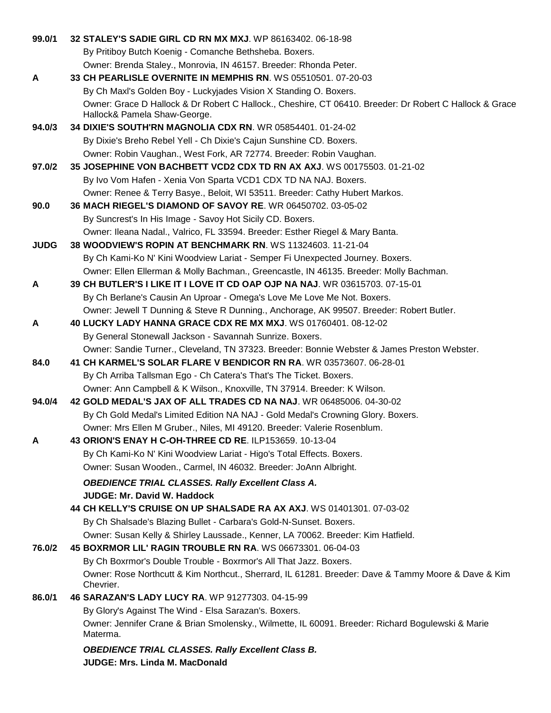| 99.0/1      | 32 STALEY'S SADIE GIRL CD RN MX MXJ. WP 86163402. 06-18-98                                                                              |
|-------------|-----------------------------------------------------------------------------------------------------------------------------------------|
|             | By Pritiboy Butch Koenig - Comanche Bethsheba. Boxers.                                                                                  |
|             | Owner: Brenda Staley., Monrovia, IN 46157. Breeder: Rhonda Peter.                                                                       |
| A           | 33 CH PEARLISLE OVERNITE IN MEMPHIS RN. WS 05510501. 07-20-03                                                                           |
|             | By Ch Maxl's Golden Boy - Luckyjades Vision X Standing O. Boxers.                                                                       |
|             | Owner: Grace D Hallock & Dr Robert C Hallock., Cheshire, CT 06410. Breeder: Dr Robert C Hallock & Grace<br>Hallock& Pamela Shaw-George. |
| 94.0/3      | 34 DIXIE'S SOUTH'RN MAGNOLIA CDX RN. WR 05854401. 01-24-02                                                                              |
|             | By Dixie's Breho Rebel Yell - Ch Dixie's Cajun Sunshine CD. Boxers.                                                                     |
|             | Owner: Robin Vaughan., West Fork, AR 72774. Breeder: Robin Vaughan.                                                                     |
| 97.0/2      | 35 JOSEPHINE VON BACHBETT VCD2 CDX TD RN AX AXJ. WS 00175503. 01-21-02                                                                  |
|             | By Ivo Vom Hafen - Xenia Von Sparta VCD1 CDX TD NA NAJ. Boxers.                                                                         |
|             | Owner: Renee & Terry Basye., Beloit, WI 53511. Breeder: Cathy Hubert Markos.                                                            |
| 90.0        | 36 MACH RIEGEL'S DIAMOND OF SAVOY RE. WR 06450702. 03-05-02                                                                             |
|             | By Suncrest's In His Image - Savoy Hot Sicily CD. Boxers.                                                                               |
|             | Owner: Ileana Nadal., Valrico, FL 33594. Breeder: Esther Riegel & Mary Banta.                                                           |
| <b>JUDG</b> | 38 WOODVIEW'S ROPIN AT BENCHMARK RN. WS 11324603. 11-21-04                                                                              |
|             | By Ch Kami-Ko N' Kini Woodview Lariat - Semper Fi Unexpected Journey. Boxers.                                                           |
|             | Owner: Ellen Ellerman & Molly Bachman., Greencastle, IN 46135. Breeder: Molly Bachman.                                                  |
| A           | 39 CH BUTLER'S I LIKE IT I LOVE IT CD OAP OJP NA NAJ. WR 03615703. 07-15-01                                                             |
|             | By Ch Berlane's Causin An Uproar - Omega's Love Me Love Me Not. Boxers.                                                                 |
|             | Owner: Jewell T Dunning & Steve R Dunning., Anchorage, AK 99507. Breeder: Robert Butler.                                                |
| A           | 40 LUCKY LADY HANNA GRACE CDX RE MX MXJ. WS 01760401. 08-12-02                                                                          |
|             | By General Stonewall Jackson - Savannah Sunrize. Boxers.                                                                                |
|             | Owner: Sandie Turner., Cleveland, TN 37323. Breeder: Bonnie Webster & James Preston Webster.                                            |
| 84.0        | 41 CH KARMEL'S SOLAR FLARE V BENDICOR RN RA. WR 03573607. 06-28-01                                                                      |
|             | By Ch Arriba Tallsman Ego - Ch Catera's That's The Ticket. Boxers.                                                                      |
|             | Owner: Ann Campbell & K Wilson., Knoxville, TN 37914. Breeder: K Wilson.                                                                |
| 94.0/4      | 42 GOLD MEDAL'S JAX OF ALL TRADES CD NA NAJ. WR 06485006. 04-30-02                                                                      |
|             | By Ch Gold Medal's Limited Edition NA NAJ - Gold Medal's Crowning Glory. Boxers.                                                        |
|             | Owner: Mrs Ellen M Gruber., Niles, MI 49120. Breeder: Valerie Rosenblum.                                                                |
| A           | 43 ORION'S ENAY H C-OH-THREE CD RE. ILP153659. 10-13-04                                                                                 |
|             | By Ch Kami-Ko N' Kini Woodview Lariat - Higo's Total Effects. Boxers.                                                                   |
|             | Owner: Susan Wooden., Carmel, IN 46032. Breeder: JoAnn Albright.                                                                        |
|             |                                                                                                                                         |
|             | <b>OBEDIENCE TRIAL CLASSES. Rally Excellent Class A.</b><br><b>JUDGE: Mr. David W. Haddock</b>                                          |
|             | 44 CH KELLY'S CRUISE ON UP SHALSADE RA AX AXJ. WS 01401301. 07-03-02                                                                    |
|             | By Ch Shalsade's Blazing Bullet - Carbara's Gold-N-Sunset. Boxers.                                                                      |
|             | Owner: Susan Kelly & Shirley Laussade., Kenner, LA 70062. Breeder: Kim Hatfield.                                                        |
| 76.0/2      | 45 BOXRMOR LIL' RAGIN TROUBLE RN RA. WS 06673301, 06-04-03                                                                              |
|             | By Ch Boxrmor's Double Trouble - Boxrmor's All That Jazz. Boxers.                                                                       |
|             | Owner: Rose Northcutt & Kim Northcut., Sherrard, IL 61281. Breeder: Dave & Tammy Moore & Dave & Kim                                     |
|             | Chevrier.                                                                                                                               |
| 86.0/1      | 46 SARAZAN'S LADY LUCY RA. WP 91277303. 04-15-99                                                                                        |
|             | By Glory's Against The Wind - Elsa Sarazan's. Boxers.                                                                                   |
|             | Owner: Jennifer Crane & Brian Smolensky., Wilmette, IL 60091. Breeder: Richard Bogulewski & Marie<br>Materma.                           |
|             | <b>OBEDIENCE TRIAL CLASSES. Rally Excellent Class B.</b>                                                                                |
|             | JUDGE: Mrs. Linda M. MacDonald                                                                                                          |
|             |                                                                                                                                         |